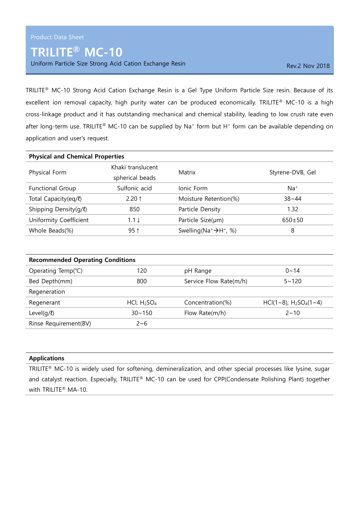## TRILITE® MC-10

Uniform Particle Size Strong Acid Cation Exchange Resin Rev. 2 Nov 2018

TRILITE® MC-10 Strong Acid Cation Exchange Resin is a Gel Type Uniform Particle Size resin. Because of its excellent ion removal capacity, high purity water can be produced economically. TRILITE® MC-10 is a high cross-linkage product and it has outstanding mechanical and chemical stability, leading to low crush rate even after long-term use. TRILITE® MC-10 can be supplied by Na<sup>+</sup> form but H<sup>+</sup> form can be available depending on application and user's request.

| <b>Physical and Chemical Properties</b> |                                      |                                        |                  |  |
|-----------------------------------------|--------------------------------------|----------------------------------------|------------------|--|
| Physical Form                           | Khaki translucent<br>spherical beads | Matrix                                 | Styrene-DVB, Gel |  |
| Functional Group                        | Sulfonic acid                        | Ionic Form                             | $Na+$            |  |
| Total Capacity(eq/l)                    | $2.20$ 1                             | Moisture Retention(%)                  | $38 - 44$        |  |
| Shipping Density(g/l)                   | 850                                  | Particle Density                       | 1.32             |  |
| Uniformity Coefficient                  | $1.1 \downarrow$                     | Particle Size(µm)                      | $650+50$         |  |
| Whole Beads(%)                          | $95$ ↑                               | Swelling ( $Na^+ \rightarrow H^+$ , %) | 8                |  |

| <b>Recommended Operating Conditions</b> |                |                        |                               |  |  |
|-----------------------------------------|----------------|------------------------|-------------------------------|--|--|
| Operating Temp(°C)                      | 120            | pH Range               | $0 \sim 14$                   |  |  |
| Bed Depth(mm)                           | 800            | Service Flow Rate(m/h) | $5 - 120$                     |  |  |
| Regeneration                            |                |                        |                               |  |  |
| Regenerant                              | HCl, $H_2SO_4$ | Concentration(%)       | $HCl(1~8)$ , $H_2SO_4(1~1~4)$ |  |  |
| Level $(q/\ell)$                        | $30 - 150$     | Flow Rate $(m/h)$      | $2 \sim 10$                   |  |  |
| Rinse Requirement(BV)                   | $2 - 6$        |                        |                               |  |  |

## Applications

TRILITE® MC-10 is widely used for softening, demineralization, and other special processes like lysine, sugar and catalyst reaction. Especially, TRILITE® MC-10 can be used for CPP(Condensate Polishing Plant) together with TRILITE® MA-10.